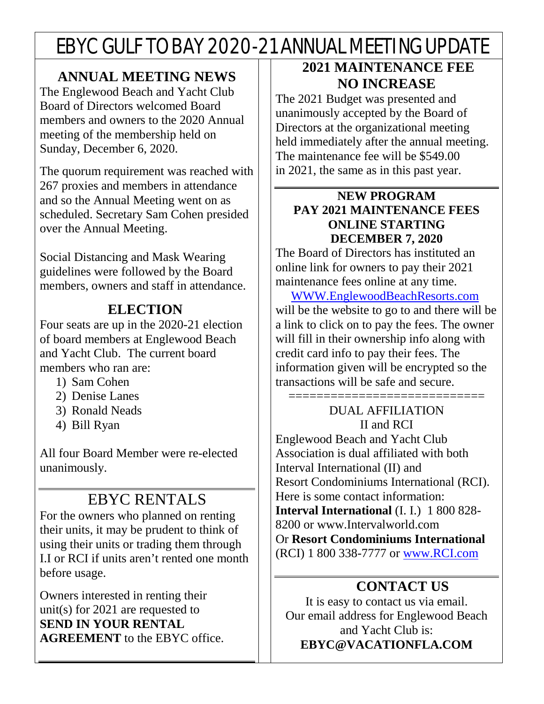# EBYC GULF TO BAY 2020-21 ANNUAL MEETING UPDATE

### **ANNUAL MEETING NEWS**

The Englewood Beach and Yacht Club Board of Directors welcomed Board members and owners to the 2020 Annual meeting of the membership held on Sunday, December 6, 2020.

The quorum requirement was reached with 267 proxies and members in attendance and so the Annual Meeting went on as scheduled. Secretary Sam Cohen presided over the Annual Meeting.

Social Distancing and Mask Wearing guidelines were followed by the Board members, owners and staff in attendance.

### **ELECTION**

Four seats are up in the 2020-21 election of board members at Englewood Beach and Yacht Club. The current board members who ran are:

- 1) Sam Cohen
- 2) Denise Lanes
- 3) Ronald Neads
- 4) Bill Ryan

All four Board Member were re-elected unanimously.

# EBYC RENTALS

For the owners who planned on renting their units, it may be prudent to think of using their units or trading them through I.I or RCI if units aren't rented one month before usage.

Owners interested in renting their unit(s) for 2021 are requested to **SEND IN YOUR RENTAL AGREEMENT** to the EBYC office.

## **2021 MAINTENANCE FEE NO INCREASE**

The 2021 Budget was presented and unanimously accepted by the Board of Directors at the organizational meeting held immediately after the annual meeting. The maintenance fee will be \$549.00 in 2021, the same as in this past year.

#### **NEW PROGRAM PAY 2021 MAINTENANCE FEES ONLINE STARTING DECEMBER 7, 2020**

The Board of Directors has instituted an online link for owners to pay their 2021 maintenance fees online at any time.

 [WWW.EnglewoodBeachResorts.com](http://www.englewoodbeachresorts.com/)  will be the website to go to and there will be a link to click on to pay the fees. The owner will fill in their ownership info along with credit card info to pay their fees. The information given will be encrypted so the transactions will be safe and secure.

#### ============================= DUAL AFFILIATION II and RCI

Englewood Beach and Yacht Club Association is dual affiliated with both Interval International (II) and Resort Condominiums International (RCI). Here is some contact information: **Interval International** (I. I.) 1 800 828- 8200 or www.Intervalworld.com Or **Resort Condominiums International** (RCI) 1 800 338-7777 or [www.RCI.com](http://www.rci.com/)

## **CONTACT US**

It is easy to contact us via email. Our email address for Englewood Beach and Yacht Club is: **EBYC@VACATIONFLA.COM**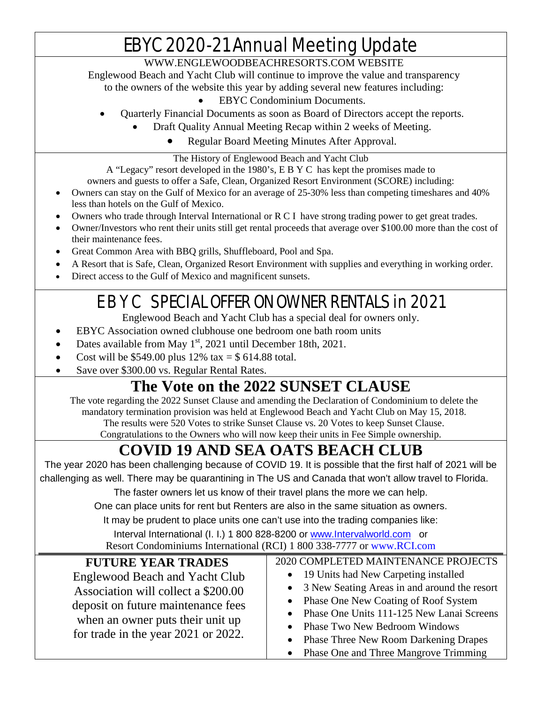# EBYC 2020-21 Annual Meeting Update

#### [WWW.ENGLEWOODBEACHRESORTS.COM](http://www.englewoodbeachresorts.com/) WEBSITE

Englewood Beach and Yacht Club will continue to improve the value and transparency to the owners of the website this year by adding several new features including:

- EBYC Condominium Documents.
- Quarterly Financial Documents as soon as Board of Directors accept the reports.
	- Draft Quality Annual Meeting Recap within 2 weeks of Meeting.
		- Regular Board Meeting Minutes After Approval.

#### The History of Englewood Beach and Yacht Club

A "Legacy" resort developed in the 1980's, E B Y C has kept the promises made to owners and guests to offer a Safe, Clean, Organized Resort Environment (SCORE) including:

- Owners can stay on the Gulf of Mexico for an average of 25-30% less than competing timeshares and 40% less than hotels on the Gulf of Mexico.
- Owners who trade through Interval International or R C I have strong trading power to get great trades.
- Owner/Investors who rent their units still get rental proceeds that average over \$100.00 more than the cost of their maintenance fees.
- Great Common Area with BBQ grills, Shuffleboard, Pool and Spa.
- A Resort that is Safe, Clean, Organized Resort Environment with supplies and everything in working order.
- Direct access to the Gulf of Mexico and magnificent sunsets.

# E B Y C SPECIAL OFFER ON OWNER RENTALS in 2021

Englewood Beach and Yacht Club has a special deal for owners only.

- EBYC Association owned clubhouse one bedroom one bath room units
- Dates available from May 1<sup>st</sup>, 2021 until December 18th, 2021.
- Cost will be \$549.00 plus  $12\%$  tax = \$ 614.88 total.
- Save over \$300.00 vs. Regular Rental Rates.

# **The Vote on the 2022 SUNSET CLAUSE**

The vote regarding the 2022 Sunset Clause and amending the Declaration of Condominium to delete the mandatory termination provision was held at Englewood Beach and Yacht Club on May 15, 2018. The results were 520 Votes to strike Sunset Clause vs. 20 Votes to keep Sunset Clause. Congratulations to the Owners who will now keep their units in Fee Simple ownership.

# **COVID 19 AND SEA OATS BEACH CLUB**

The year 2020 has been challenging because of COVID 19. It is possible that the first half of 2021 will be challenging as well. There may be quarantining in The US and Canada that won't allow travel to Florida.

The faster owners let us know of their travel plans the more we can help.

One can place units for rent but Renters are also in the same situation as owners.

It may be prudent to place units one can't use into the trading companies like:

Interval International (I. I.) 1 800 828-8200 or [www.Intervalworld.com](http://www.intervalworld.com/) or Resort Condominiums International (RCI) 1 800 338-7777 or [www.RCI.com](http://www.rci.com/)

| <b>FUTURE YEAR TRADES</b><br>Englewood Beach and Yacht Club<br>Association will collect a \$200.00<br>deposit on future maintenance fees | 2020 COMPLETED MAINTENANCE PROJECTS<br>• 19 Units had New Carpeting installed<br>• 3 New Seating Areas in and around the resort<br>• Phase One New Coating of Roof System<br>• Phase One Units 111-125 New Lanai Screens |
|------------------------------------------------------------------------------------------------------------------------------------------|--------------------------------------------------------------------------------------------------------------------------------------------------------------------------------------------------------------------------|
| when an owner puts their unit up<br>for trade in the year 2021 or 2022.                                                                  | • Phase Two New Bedroom Windows<br>• Phase Three New Room Darkening Drapes                                                                                                                                               |
|                                                                                                                                          | • Phase One and Three Mangrove Trimming                                                                                                                                                                                  |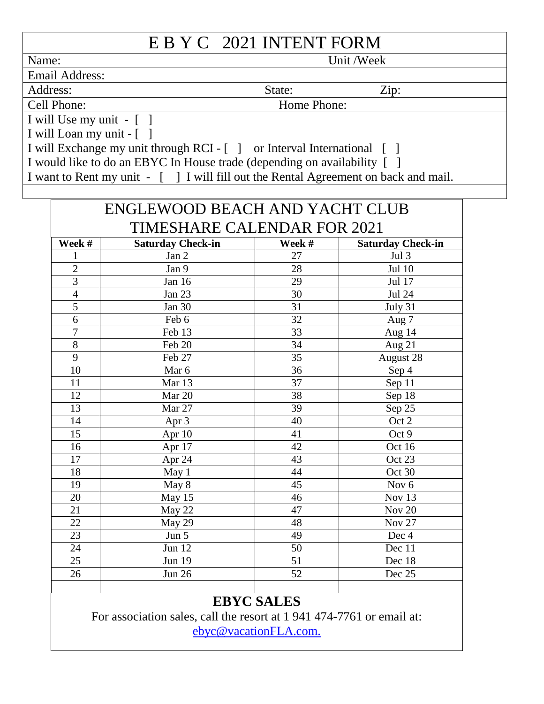# E B V C 2021 INTENT FORM

|                                                                                    | EDIU 2021 INTENT FUNNI |           |  |  |
|------------------------------------------------------------------------------------|------------------------|-----------|--|--|
| Name:                                                                              |                        | Unit/Week |  |  |
| <b>Email Address:</b>                                                              |                        |           |  |  |
| Address:                                                                           | State:                 | Zip:      |  |  |
| Cell Phone:                                                                        | Home Phone:            |           |  |  |
| I will Use my unit $ \lceil$ $\rceil$                                              |                        |           |  |  |
| I will Loan my unit - []                                                           |                        |           |  |  |
| I will Exchange my unit through RCI - [] or Interval International []              |                        |           |  |  |
| I would like to do an EBYC In House trade (depending on availability [ ]           |                        |           |  |  |
| I want to Rent my unit - [] I will fill out the Rental Agreement on back and mail. |                        |           |  |  |
|                                                                                    |                        |           |  |  |

| <b>ENGLEWOOD BEACH AND YACHT CLUB</b> |                          |                     |                          |  |  |
|---------------------------------------|--------------------------|---------------------|--------------------------|--|--|
| TIMESHARE CALENDAR FOR 2021           |                          |                     |                          |  |  |
| Week #                                | <b>Saturday Check-in</b> | Week #              | <b>Saturday Check-in</b> |  |  |
| $\mathbf{1}$                          | Jan 2                    | 27                  | Jul 3                    |  |  |
| $\overline{2}$                        | Jan 9                    | 28                  | Jul 10                   |  |  |
| $\overline{3}$                        | Jan 16                   | 29                  | Jul 17                   |  |  |
| $\overline{4}$                        | Jan 23                   | 30<br><b>Jul 24</b> |                          |  |  |
| $\overline{5}$                        | <b>Jan 30</b>            | 31                  | July 31                  |  |  |
| 6                                     | Feb 6                    | 32                  | Aug 7                    |  |  |
| $\overline{7}$                        | Feb 13                   | 33                  | Aug 14                   |  |  |
| 8                                     | Feb 20                   | 34                  | Aug 21                   |  |  |
| 9                                     | Feb 27                   | 35                  | August 28                |  |  |
| 10                                    | Mar 6                    | 36                  | Sep 4                    |  |  |
| 11                                    | Mar 13                   | 37                  | Sep 11                   |  |  |
| 12                                    | Mar 20                   | 38                  | Sep 18                   |  |  |
| 13                                    | Mar 27                   | 39                  | Sep 25                   |  |  |
| 14                                    | Apr 3                    | 40                  | Oct 2                    |  |  |
| 15                                    | Apr 10                   | 41                  | Oct 9                    |  |  |
| 16                                    | Apr 17                   | 42                  | Oct 16                   |  |  |
| 17                                    | Apr 24                   | 43                  | Oct 23                   |  |  |
| 18                                    | May 1                    | 44                  | Oct 30                   |  |  |
| 19                                    | May 8                    | 45                  | Nov <sub>6</sub>         |  |  |
| 20                                    | May 15                   | 46                  | Nov 13                   |  |  |
| 21                                    | May 22                   | 47                  | <b>Nov 20</b>            |  |  |
| 22                                    | May 29                   | 48                  | <b>Nov 27</b>            |  |  |
| 23                                    | Jun 5                    | 49                  | Dec 4                    |  |  |
| 24                                    | Jun 12                   | 50                  | Dec 11                   |  |  |
| 25                                    | <b>Jun 19</b>            | 51                  | Dec 18                   |  |  |
| 26                                    | <b>Jun 26</b>            | 52                  | Dec 25                   |  |  |
|                                       |                          |                     |                          |  |  |

## **EBYC SALES**

For association sales, call the resort at 1 941 474-7761 or email at: [ebyc@vacationFLA.com.](mailto:ebyc@vacationFLA.com)